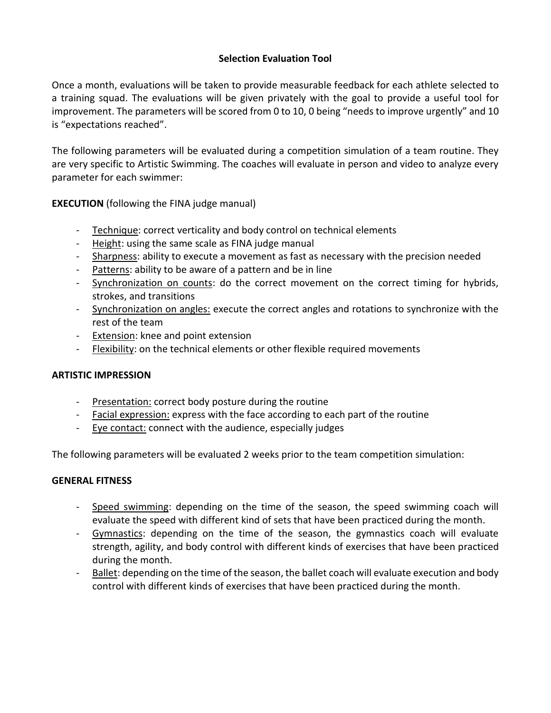## **Selection Evaluation Tool**

Once a month, evaluations will be taken to provide measurable feedback for each athlete selected to a training squad. The evaluations will be given privately with the goal to provide a useful tool for improvement. The parameters will be scored from 0 to 10, 0 being "needs to improve urgently" and 10 is "expectations reached".

The following parameters will be evaluated during a competition simulation of a team routine. They are very specific to Artistic Swimming. The coaches will evaluate in person and video to analyze every parameter for each swimmer:

**EXECUTION** (following the FINA judge manual)

- Technique: correct verticality and body control on technical elements
- Height: using the same scale as FINA judge manual
- Sharpness: ability to execute a movement as fast as necessary with the precision needed
- Patterns: ability to be aware of a pattern and be in line
- Synchronization on counts: do the correct movement on the correct timing for hybrids, strokes, and transitions
- Synchronization on angles: execute the correct angles and rotations to synchronize with the rest of the team
- Extension: knee and point extension
- Flexibility: on the technical elements or other flexible required movements

## **ARTISTIC IMPRESSION**

- Presentation: correct body posture during the routine
- Facial expression: express with the face according to each part of the routine
- Eye contact: connect with the audience, especially judges

The following parameters will be evaluated 2 weeks prior to the team competition simulation:

## **GENERAL FITNESS**

- Speed swimming: depending on the time of the season, the speed swimming coach will evaluate the speed with different kind of sets that have been practiced during the month.
- Gymnastics: depending on the time of the season, the gymnastics coach will evaluate strength, agility, and body control with different kinds of exercises that have been practiced during the month.
- Ballet: depending on the time of the season, the ballet coach will evaluate execution and body control with different kinds of exercises that have been practiced during the month.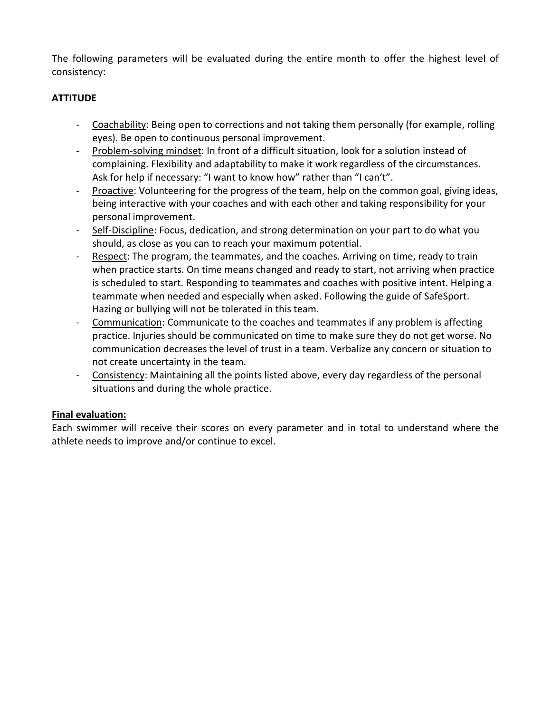The following parameters will be evaluated during the entire month to offer the highest level of consistency:

# **ATTITUDE**

- Coachability: Being open to corrections and not taking them personally (for example, rolling eyes). Be open to continuous personal improvement.
- Problem-solving mindset: In front of a difficult situation, look for a solution instead of complaining. Flexibility and adaptability to make it work regardless of the circumstances. Ask for help if necessary: "I want to know how" rather than "I can't".
- Proactive: Volunteering for the progress of the team, help on the common goal, giving ideas, being interactive with your coaches and with each other and taking responsibility for your personal improvement.
- Self-Discipline: Focus, dedication, and strong determination on your part to do what you should, as close as you can to reach your maximum potential.
- Respect: The program, the teammates, and the coaches. Arriving on time, ready to train when practice starts. On time means changed and ready to start, not arriving when practice is scheduled to start. Responding to teammates and coaches with positive intent. Helping a teammate when needed and especially when asked. Following the guide of SafeSport. Hazing or bullying will not be tolerated in this team.
- Communication: Communicate to the coaches and teammates if any problem is affecting practice. Injuries should be communicated on time to make sure they do not get worse. No communication decreases the level of trust in a team. Verbalize any concern or situation to not create uncertainty in the team.
- Consistency: Maintaining all the points listed above, every day regardless of the personal situations and during the whole practice.

## **Final evaluation:**

Each swimmer will receive their scores on every parameter and in total to understand where the athlete needs to improve and/or continue to excel.